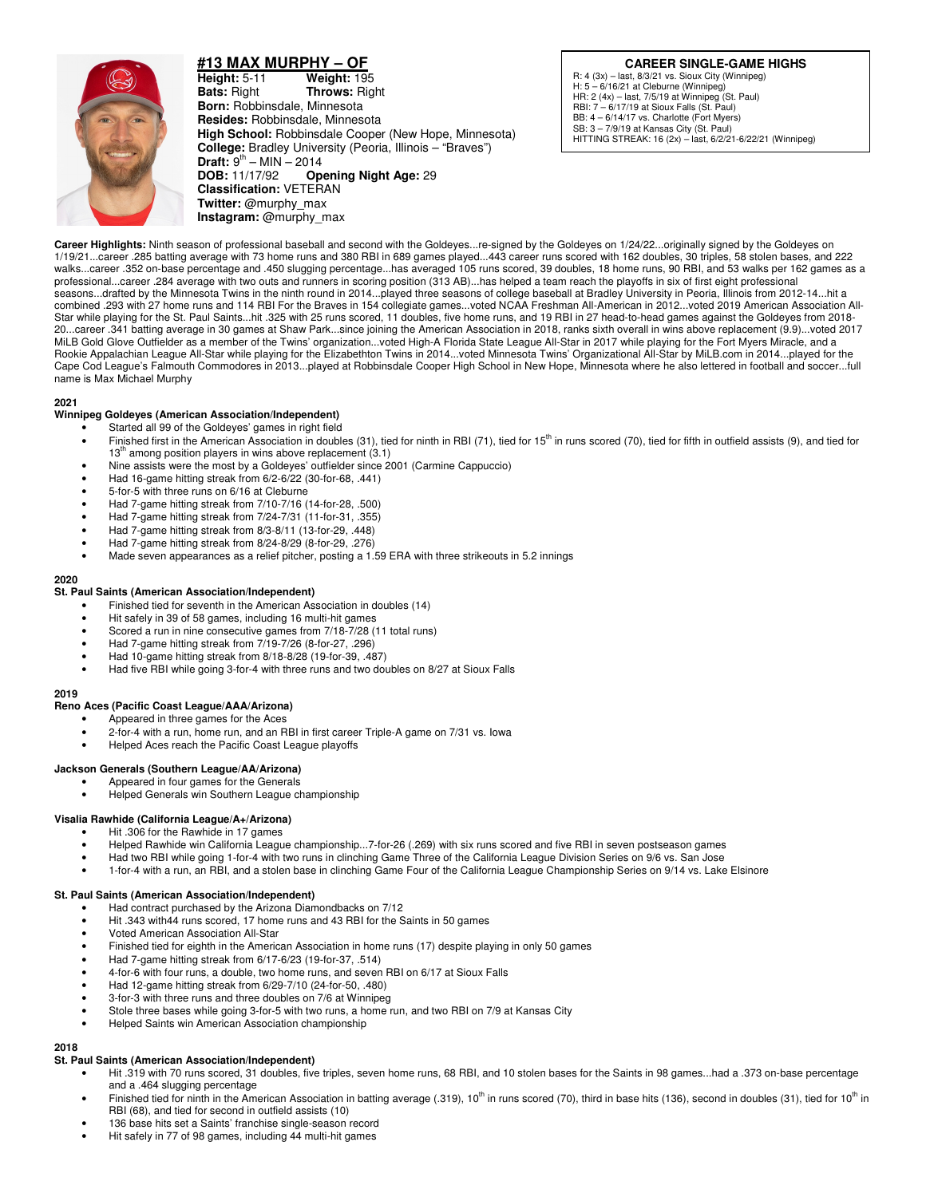

**#13 MAX MURPHY – OF Height:** 5-11 **Weight:** 195 **Bats:** Right **Throws:** Right **Born:** Robbinsdale, Minnesota **Resides:** Robbinsdale, Minnesota **High School:** Robbinsdale Cooper (New Hope, Minnesota) **College:** Bradley University (Peoria, Illinois – "Braves") **Draft:**  $9^{th}$  – MIN – 2014<br>**DOB:** 11/17/92 **Op Opening Night Age: 29 Classification:** VETERAN **Twitter:** @murphy\_max **Instagram:** @murphy\_max

**CAREER SINGLE-GAME HIGHS** R: 4 (3x) – last, 8/3/21 vs. Sioux City (Winnipeg) H: 5 – 6/16/21 at Cleburne (Winnipeg) HR: 2 (4x) – last, 7/5/19 at Winnipeg (St. Paul) RBI: 7 – 6/17/19 at Sioux Falls (St. Paul)

BB: 4 – 6/14/17 vs. Charlotte (Fort Myers) SB: 3 – 7/9/19 at Kansas City (St. Paul) HITTING STREAK: 16 (2x) – last, 6/2/21-6/22/21 (Winnipeg)

Career Highlights: Ninth season of professional baseball and second with the Goldeyes...re-signed by the Goldeyes on 1/24/22...originally signed by the Goldeyes on 1/19/21...career .285 batting average with 73 home runs and 380 RBI in 689 games played...443 career runs scored with 162 doubles, 30 triples, 58 stolen bases, and 222 walks...career .352 on-base percentage and .450 slugging percentage...has averaged 105 runs scored, 39 doubles, 18 home runs, 90 RBI, and 53 walks per 162 games as a professional...career .284 average with two outs and runners in scoring position (313 AB)...has helped a team reach the playoffs in six of first eight professional seasons...drafted by the Minnesota Twins in the ninth round in 2014...played three seasons of college baseball at Bradley University in Peoria, Illinois from 2012-14...hit a combined .293 with 27 home runs and 114 RBI For the Braves in 154 collegiate games...voted NCAA Freshman All-American in 2012...voted 2019 American Association All-Star while playing for the St. Paul Saints...hit .325 with 25 runs scored, 11 doubles, five home runs, and 19 RBI in 27 head-to-head games against the Goldeyes from 2018- 20...career .341 batting average in 30 games at Shaw Park...since joining the American Association in 2018, ranks sixth overall in wins above replacement (9.9)...voted 2017 MiLB Gold Glove Outfielder as a member of the Twins' organization...voted High-A Florida State League All-Star in 2017 while playing for the Fort Myers Miracle, and a Rookie Appalachian League All-Star while playing for the Elizabethton Twins in 2014...voted Minnesota Twins' Organizational All-Star by MiLB.com in 2014...played for the Cape Cod League's Falmouth Commodores in 2013...played at Robbinsdale Cooper High School in New Hope, Minnesota where he also lettered in football and soccer...full name is Max Michael Murphy

### **2021**

## **Winnipeg Goldeyes (American Association/Independent)**

- Started all 99 of the Goldeyes' games in right field
- Finished first in the American Association in doubles (31), tied for ninth in RBI (71), tied for 15<sup>th</sup> in runs scored (70), tied for fifth in outfield assists (9), and tied for  $13<sup>m</sup>$  among position players in wins above replacement (3.1)
- Nine assists were the most by a Goldeyes' outfielder since 2001 (Carmine Cappuccio)
- Had 16-game hitting streak from 6/2-6/22 (30-for-68, .441)
- 5-for-5 with three runs on 6/16 at Cleburne
- Had 7-game hitting streak from 7/10-7/16 (14-for-28, .500)
- Had 7-game hitting streak from 7/24-7/31 (11-for-31, .355)
- Had 7-game hitting streak from 8/3-8/11 (13-for-29, .448)
- Had 7-game hitting streak from 8/24-8/29 (8-for-29, .276)
- Made seven appearances as a relief pitcher, posting a 1.59 ERA with three strikeouts in 5.2 innings

#### **2020**

#### **St. Paul Saints (American Association/Independent)**

- Finished tied for seventh in the American Association in doubles (14)
- Hit safely in 39 of 58 games, including 16 multi-hit games
- Scored a run in nine consecutive games from 7/18-7/28 (11 total runs)
- Had 7-game hitting streak from 7/19-7/26 (8-for-27, .296)
- Had 10-game hitting streak from 8/18-8/28 (19-for-39, .487)
- Had five RBI while going 3-for-4 with three runs and two doubles on 8/27 at Sioux Falls

#### **2019**

### **Reno Aces (Pacific Coast League/AAA/Arizona)**

- Appeared in three games for the Aces
	- 2-for-4 with a run, home run, and an RBI in first career Triple-A game on 7/31 vs. Iowa
- Helped Aces reach the Pacific Coast League playoffs

#### **Jackson Generals (Southern League/AA/Arizona)**

- Appeared in four games for the Generals
- Helped Generals win Southern League championship

# **Visalia Rawhide (California League/A+/Arizona)**

- Hit .306 for the Rawhide in 17 games
- Helped Rawhide win California League championship...7-for-26 (.269) with six runs scored and five RBI in seven postseason games
- Had two RBI while going 1-for-4 with two runs in clinching Game Three of the California League Division Series on 9/6 vs. San Jose
- 1-for-4 with a run, an RBI, and a stolen base in clinching Game Four of the California League Championship Series on 9/14 vs. Lake Elsinore

## **St. Paul Saints (American Association/Independent)**

- Had contract purchased by the Arizona Diamondbacks on 7/12
- Hit .343 with44 runs scored, 17 home runs and 43 RBI for the Saints in 50 games
- Voted American Association All-Star
- Finished tied for eighth in the American Association in home runs (17) despite playing in only 50 games
- Had 7-game hitting streak from 6/17-6/23 (19-for-37, .514)
- 4-for-6 with four runs, a double, two home runs, and seven RBI on 6/17 at Sioux Falls
- Had 12-game hitting streak from 6/29-7/10 (24-for-50, .480)
- 3-for-3 with three runs and three doubles on 7/6 at Winnipeg
- Stole three bases while going 3-for-5 with two runs, a home run, and two RBI on 7/9 at Kansas City
- Helped Saints win American Association championship

**2018** 

## **St. Paul Saints (American Association/Independent)**

- Hit .319 with 70 runs scored, 31 doubles, five triples, seven home runs, 68 RBI, and 10 stolen bases for the Saints in 98 games...had a .373 on-base percentage and a .464 slugging percentage
- Finished tied for ninth in the American Association in batting average (.319),  $10^{\text{th}}$  in runs scored (70), third in base hits (136), second in doubles (31), tied for  $10^{\text{th}}$  in RBI (68), and tied for second in outfield assists (10)
- 136 base hits set a Saints' franchise single-season record
- Hit safely in 77 of 98 games, including 44 multi-hit games